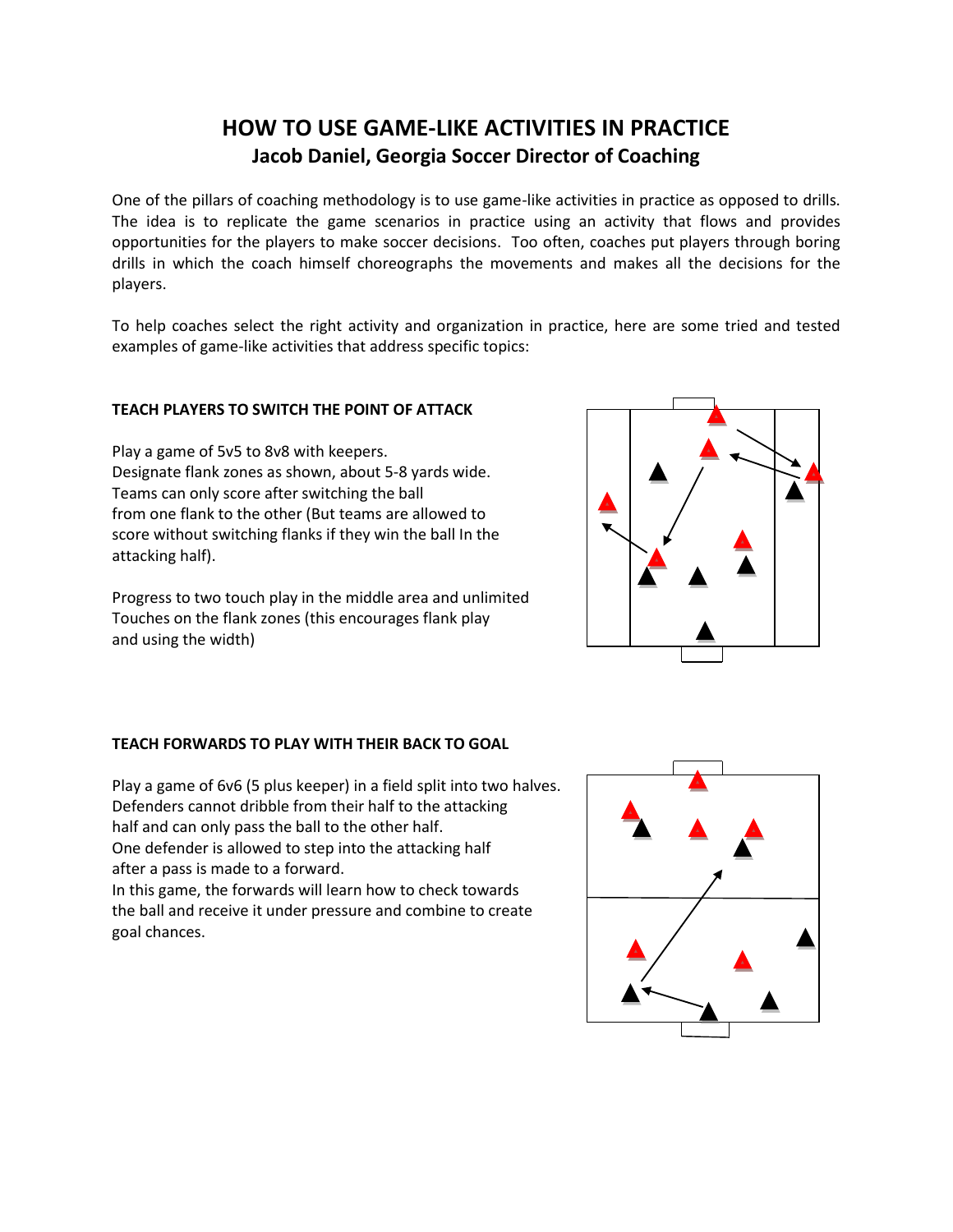# **HOW TO USE GAME-LIKE ACTIVITIES IN PRACTICE Jacob Daniel, Georgia Soccer Director of Coaching**

One of the pillars of coaching methodology is to use game-like activities in practice as opposed to drills. The idea is to replicate the game scenarios in practice using an activity that flows and provides opportunities for the players to make soccer decisions. Too often, coaches put players through boring drills in which the coach himself choreographs the movements and makes all the decisions for the players.

To help coaches select the right activity and organization in practice, here are some tried and tested examples of game-like activities that address specific topics:

### **TEACH PLAYERS TO SWITCH THE POINT OF ATTACK**

Play a game of 5v5 to 8v8 with keepers. Designate flank zones as shown, about 5-8 yards wide. Teams can only score after switching the ball from one flank to the other (But teams are allowed to score without switching flanks if they win the ball In the attacking half).

Progress to two touch play in the middle area and unlimited Touches on the flank zones (this encourages flank play and using the width)



## **TEACH FORWARDS TO PLAY WITH THEIR BACK TO GOAL**

Play a game of 6v6 (5 plus keeper) in a field split into two halves. Defenders cannot dribble from their half to the attacking half and can only pass the ball to the other half. One defender is allowed to step into the attacking half after a pass is made to a forward.

In this game, the forwards will learn how to check towards the ball and receive it under pressure and combine to create goal chances.